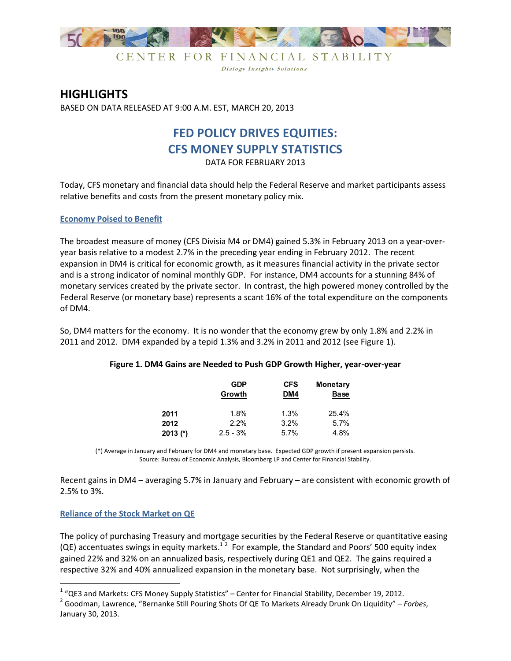

CENTER FOR FINANCIAL STABILITY Dialog. Insight. Solutions

# **HIGHLIGHTS**

BASED ON DATA RELEASED AT 9:00 A.M. EST, MARCH 20, 2013

# **FED POLICY DRIVES EQUITIES: CFS MONEY SUPPLY STATISTICS**

DATA FOR FEBRUARY 2013

Today, CFS monetary and financial data should help the Federal Reserve and market participants assess relative benefits and costs from the present monetary policy mix.

## **Economy Poised to Benefit**

The broadest measure of money (CFS Divisia M4 or DM4) gained 5.3% in February 2013 on a year-overyear basis relative to a modest 2.7% in the preceding year ending in February 2012. The recent expansion in DM4 is critical for economic growth, as it measures financial activity in the private sector and is a strong indicator of nominal monthly GDP. For instance, DM4 accounts for a stunning 84% of monetary services created by the private sector. In contrast, the high powered money controlled by the Federal Reserve (or monetary base) represents a scant 16% of the total expenditure on the components of DM4.

So, DM4 matters for the economy. It is no wonder that the economy grew by only 1.8% and 2.2% in 2011 and 2012. DM4 expanded by a tepid 1.3% and 3.2% in 2011 and 2012 (see Figure 1).

|          | <b>GDP</b><br>Growth | <b>CFS</b><br>DM4 | <b>Monetary</b><br><b>Base</b> |
|----------|----------------------|-------------------|--------------------------------|
| 2011     | 1.8%                 | 1.3%              | 25.4%                          |
| 2012     | 2.2%                 | 3.2%              | 5.7%                           |
| 2013 (*) | $2.5 - 3\%$          | 5.7%              | 4.8%                           |

## **Figure 1. DM4 Gains are Needed to Push GDP Growth Higher, year-over-year**

(\*) Average in January and February for DM4 and monetary base. Expected GDP growth if present expansion persists. Source: Bureau of Economic Analysis, Bloomberg LP and Center for Financial Stability.

Recent gains in DM4 – averaging 5.7% in January and February – are consistent with economic growth of 2.5% to 3%.

## **Reliance of the Stock Market on QE**

<u>.</u>

The policy of purchasing Treasury and mortgage securities by the Federal Reserve or quantitative easing (QE) accentuates swings in equity markets.<sup>12</sup> For example, the Standard and Poors' 500 equity index gained 22% and 32% on an annualized basis, respectively during QE1 and QE2. The gains required a respective 32% and 40% annualized expansion in the monetary base. Not surprisingly, when the

 $1$  "QE3 and Markets: CFS Money Supply Statistics" – Center for Financial Stability, December 19, 2012.

<sup>2</sup> Goodman, Lawrence, "Bernanke Still Pouring Shots Of QE To Markets Already Drunk On Liquidity" – *Forbes*, January 30, 2013.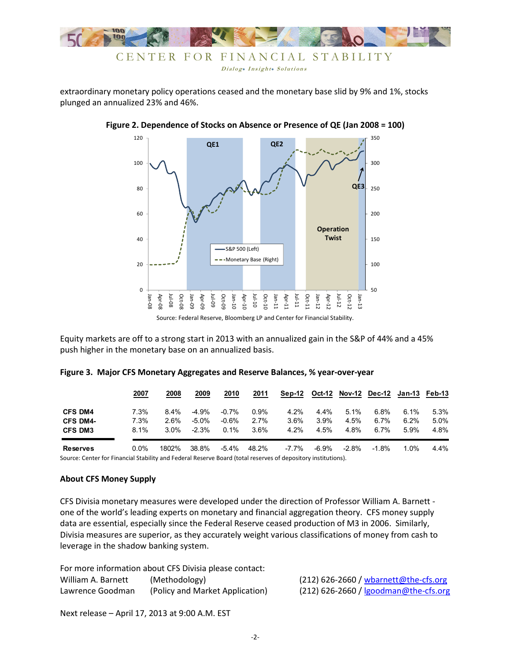

extraordinary monetary policy operations ceased and the monetary base slid by 9% and 1%, stocks plunged an annualized 23% and 46%.



**Figure 2. Dependence of Stocks on Absence or Presence of QE (Jan 2008 = 100)** 

Equity markets are off to a strong start in 2013 with an annualized gain in the S&P of 44% and a 45% push higher in the monetary base on an annualized basis.

|                 | 2007    | 2008    | 2009     | 2010     | 2011    | Sep-12  |         |         | Oct-12 Nov-12 Dec-12 Jan-13 Feb-13 |         |      |
|-----------------|---------|---------|----------|----------|---------|---------|---------|---------|------------------------------------|---------|------|
| <b>CFS DM4</b>  | 7.3%    | $8.4\%$ | -4.9%    | $-0.7\%$ | $0.9\%$ | $4.2\%$ | $4.4\%$ | $5.1\%$ | $6.8\%$                            | $6.1\%$ | 5.3% |
| <b>CFS DM4-</b> | 7.3%    | $2.6\%$ | $-5.0\%$ | $-0.6%$  | 2.7%    | $3.6\%$ | 3.9%    | 4.5%    | $6.7\%$                            | $6.2\%$ | 5.0% |
| <b>CFS DM3</b>  | 8.1%    | $3.0\%$ | $-2.3%$  | $0.1\%$  | $3.6\%$ | $4.2\%$ | 4.5%    | 4.8%    | $6.7\%$                            | $5.9\%$ | 4.8% |
| <b>Reserves</b> | $0.0\%$ | 1802%   | 38.8%    | -5.4%    | 48.2%   | -7.7%   | -6.9%   | -2.8%   | $-1.8%$                            | 1.0%    | 4.4% |

#### **Figure 3. Major CFS Monetary Aggregates and Reserve Balances, % year-over-year**

Source: Center for Financial Stability and Federal Reserve Board (total reserves of depository institutions).

#### **About CFS Money Supply**

CFS Divisia monetary measures were developed under the direction of Professor William A. Barnett one of the world's leading experts on monetary and financial aggregation theory. CFS money supply data are essential, especially since the Federal Reserve ceased production of M3 in 2006. Similarly, Divisia measures are superior, as they accurately weight various classifications of money from cash to leverage in the shadow banking system.

| For more information about CFS Divisia please contact: |                                 |  |                                         |  |  |  |
|--------------------------------------------------------|---------------------------------|--|-----------------------------------------|--|--|--|
| William A. Barnett                                     | (Methodology)                   |  | $(212)$ 626-2660 / wbarnett@the-cfs.org |  |  |  |
| Lawrence Goodman                                       | (Policy and Market Application) |  | $(212)$ 626-2660 / Igoodman@the-cfs.org |  |  |  |

Next release – April 17, 2013 at 9:00 A.M. EST